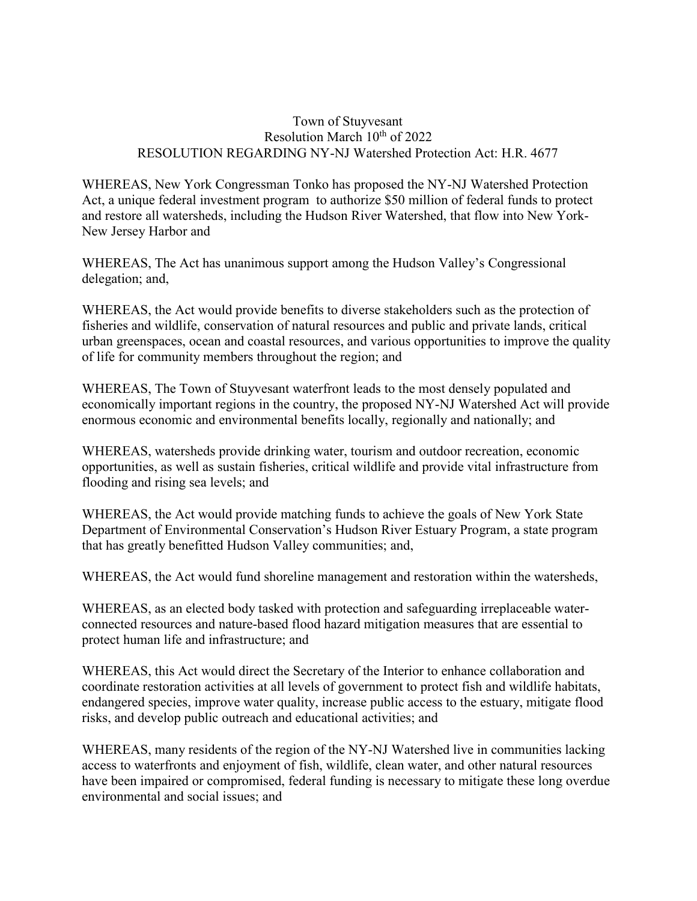## Town of Stuyvesant Resolution March 10<sup>th</sup> of 2022 RESOLUTION REGARDING NY-NJ Watershed Protection Act: H.R. 4677

WHEREAS, New York Congressman Tonko has proposed the NY-NJ Watershed Protection Act, a unique federal investment program to authorize \$50 million of federal funds to protect and restore all watersheds, including the Hudson River Watershed, that flow into New York-New Jersey Harbor and

WHEREAS, The Act has unanimous support among the Hudson Valley's Congressional delegation; and,

WHEREAS, the Act would provide benefits to diverse stakeholders such as the protection of fisheries and wildlife, conservation of natural resources and public and private lands, critical urban greenspaces, ocean and coastal resources, and various opportunities to improve the quality of life for community members throughout the region; and

WHEREAS, The Town of Stuyvesant waterfront leads to the most densely populated and economically important regions in the country, the proposed NY-NJ Watershed Act will provide enormous economic and environmental benefits locally, regionally and nationally; and

WHEREAS, watersheds provide drinking water, tourism and outdoor recreation, economic opportunities, as well as sustain fisheries, critical wildlife and provide vital infrastructure from flooding and rising sea levels; and

WHEREAS, the Act would provide matching funds to achieve the goals of New York State Department of Environmental Conservation's Hudson River Estuary Program, a state program that has greatly benefitted Hudson Valley communities; and,

WHEREAS, the Act would fund shoreline management and restoration within the watersheds,

WHEREAS, as an elected body tasked with protection and safeguarding irreplaceable waterconnected resources and nature-based flood hazard mitigation measures that are essential to protect human life and infrastructure; and

WHEREAS, this Act would direct the Secretary of the Interior to enhance collaboration and coordinate restoration activities at all levels of government to protect fish and wildlife habitats, endangered species, improve water quality, increase public access to the estuary, mitigate flood risks, and develop public outreach and educational activities; and

WHEREAS, many residents of the region of the NY-NJ Watershed live in communities lacking access to waterfronts and enjoyment of fish, wildlife, clean water, and other natural resources have been impaired or compromised, federal funding is necessary to mitigate these long overdue environmental and social issues; and